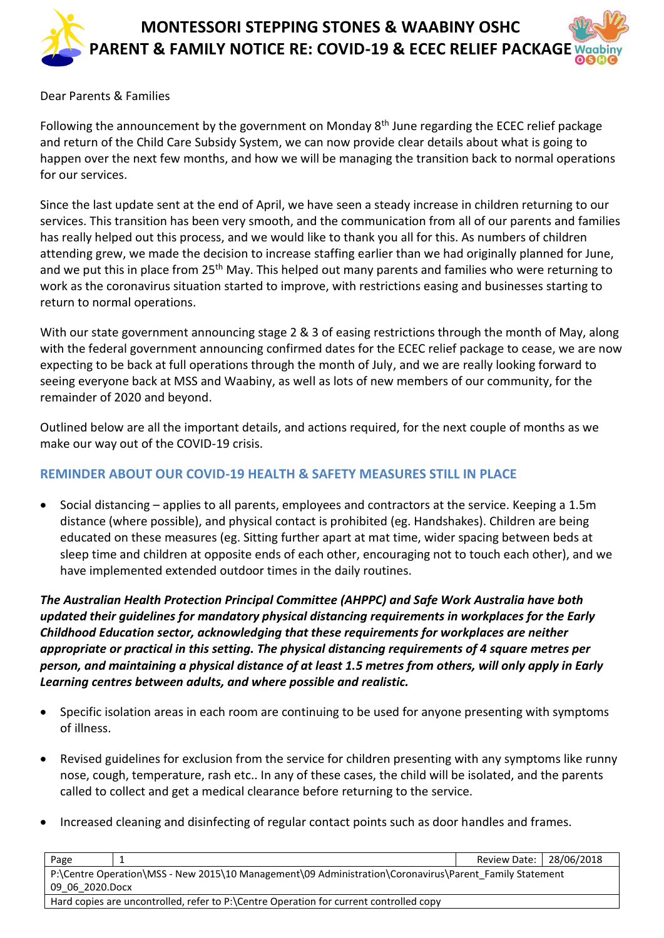

#### Dear Parents & Families

Following the announcement by the government on Monday  $8<sup>th</sup>$  June regarding the ECEC relief package and return of the Child Care Subsidy System, we can now provide clear details about what is going to happen over the next few months, and how we will be managing the transition back to normal operations for our services.

Since the last update sent at the end of April, we have seen a steady increase in children returning to our services. This transition has been very smooth, and the communication from all of our parents and families has really helped out this process, and we would like to thank you all for this. As numbers of children attending grew, we made the decision to increase staffing earlier than we had originally planned for June, and we put this in place from 25<sup>th</sup> May. This helped out many parents and families who were returning to work as the coronavirus situation started to improve, with restrictions easing and businesses starting to return to normal operations.

With our state government announcing stage 2 & 3 of easing restrictions through the month of May, along with the federal government announcing confirmed dates for the ECEC relief package to cease, we are now expecting to be back at full operations through the month of July, and we are really looking forward to seeing everyone back at MSS and Waabiny, as well as lots of new members of our community, for the remainder of 2020 and beyond.

Outlined below are all the important details, and actions required, for the next couple of months as we make our way out of the COVID-19 crisis.

#### **REMINDER ABOUT OUR COVID-19 HEALTH & SAFETY MEASURES STILL IN PLACE**

• Social distancing – applies to all parents, employees and contractors at the service. Keeping a 1.5m distance (where possible), and physical contact is prohibited (eg. Handshakes). Children are being educated on these measures (eg. Sitting further apart at mat time, wider spacing between beds at sleep time and children at opposite ends of each other, encouraging not to touch each other), and we have implemented extended outdoor times in the daily routines.

*The Australian Health Protection Principal Committee (AHPPC) and Safe Work Australia have both updated their guidelines for mandatory physical distancing requirements in workplaces for the Early Childhood Education sector, acknowledging that these requirements for workplaces are neither appropriate or practical in this setting. The physical distancing requirements of 4 square metres per person, and maintaining a physical distance of at least 1.5 metres from others, will only apply in Early Learning centres between adults, and where possible and realistic.*

- Specific isolation areas in each room are continuing to be used for anyone presenting with symptoms of illness.
- Revised guidelines for exclusion from the service for children presenting with any symptoms like runny nose, cough, temperature, rash etc.. In any of these cases, the child will be isolated, and the parents called to collect and get a medical clearance before returning to the service.
- Increased cleaning and disinfecting of regular contact points such as door handles and frames.

| Page                                                                                                   |  | Review Date:   28/06/2018 |  |
|--------------------------------------------------------------------------------------------------------|--|---------------------------|--|
| P:\Centre Operation\MSS - New 2015\10 Management\09 Administration\Coronavirus\Parent Family Statement |  |                           |  |
| 09 06 2020.Docx                                                                                        |  |                           |  |
| Hard copies are uncontrolled, refer to P:\Centre Operation for current controlled copy                 |  |                           |  |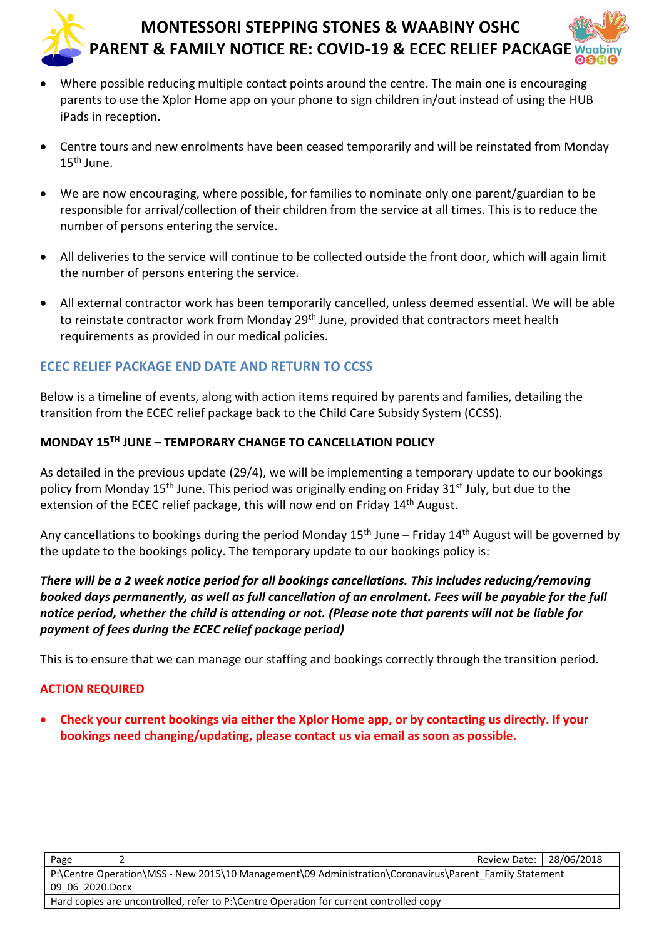- Where possible reducing multiple contact points around the centre. The main one is encouraging parents to use the Xplor Home app on your phone to sign children in/out instead of using the HUB iPads in reception.
- Centre tours and new enrolments have been ceased temporarily and will be reinstated from Monday  $15^{\text{th}}$  June.
- We are now encouraging, where possible, for families to nominate only one parent/guardian to be responsible for arrival/collection of their children from the service at all times. This is to reduce the number of persons entering the service.
- All deliveries to the service will continue to be collected outside the front door, which will again limit the number of persons entering the service.
- All external contractor work has been temporarily cancelled, unless deemed essential. We will be able to reinstate contractor work from Monday 29<sup>th</sup> June, provided that contractors meet health requirements as provided in our medical policies.

## **ECEC RELIEF PACKAGE END DATE AND RETURN TO CCSS**

Below is a timeline of events, along with action items required by parents and families, detailing the transition from the ECEC relief package back to the Child Care Subsidy System (CCSS).

### **MONDAY 15TH JUNE – TEMPORARY CHANGE TO CANCELLATION POLICY**

As detailed in the previous update (29/4), we will be implementing a temporary update to our bookings policy from Monday 15<sup>th</sup> June. This period was originally ending on Friday 31<sup>st</sup> July, but due to the extension of the ECEC relief package, this will now end on Friday 14<sup>th</sup> August.

Any cancellations to bookings during the period Monday 15<sup>th</sup> June – Friday 14<sup>th</sup> August will be governed by the update to the bookings policy. The temporary update to our bookings policy is:

*There will be a 2 week notice period for all bookings cancellations. This includes reducing/removing booked days permanently, as well as full cancellation of an enrolment. Fees will be payable for the full notice period, whether the child is attending or not. (Please note that parents will not be liable for payment of fees during the ECEC relief package period)*

This is to ensure that we can manage our staffing and bookings correctly through the transition period.

#### **ACTION REQUIRED**

• **Check your current bookings via either the Xplor Home app, or by contacting us directly. If your bookings need changing/updating, please contact us via email as soon as possible.**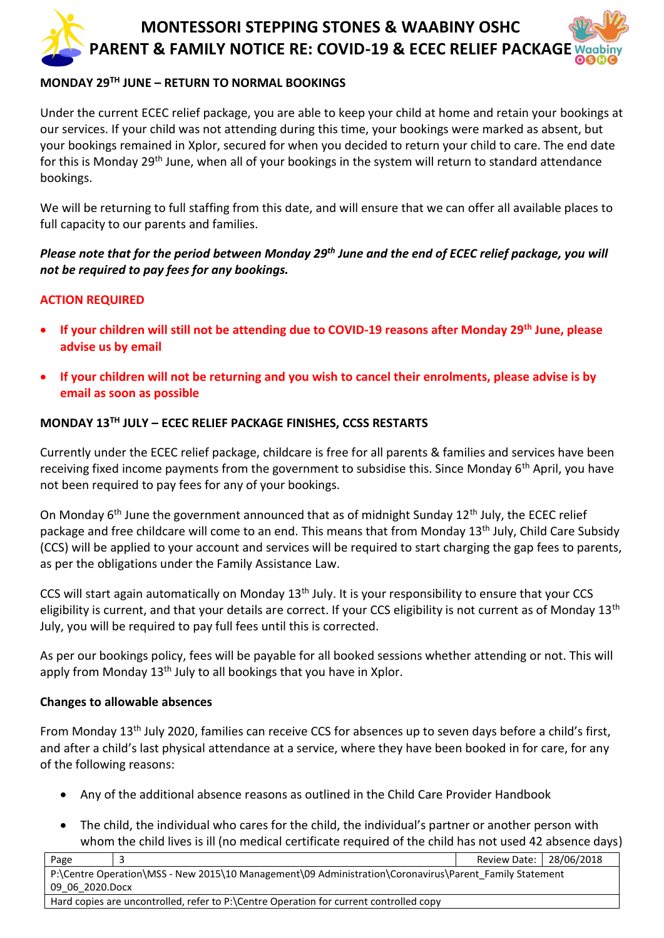#### **MONDAY 29TH JUNE – RETURN TO NORMAL BOOKINGS**

Under the current ECEC relief package, you are able to keep your child at home and retain your bookings at our services. If your child was not attending during this time, your bookings were marked as absent, but your bookings remained in Xplor, secured for when you decided to return your child to care. The end date for this is Monday 29<sup>th</sup> June, when all of your bookings in the system will return to standard attendance bookings.

We will be returning to full staffing from this date, and will ensure that we can offer all available places to full capacity to our parents and families.

*Please note that for the period between Monday 29th June and the end of ECEC relief package, you will not be required to pay fees for any bookings.*

#### **ACTION REQUIRED**

- **If your children will still not be attending due to COVID-19 reasons after Monday 29th June, please advise us by email**
- **If your children will not be returning and you wish to cancel their enrolments, please advise is by email as soon as possible**

#### **MONDAY 13TH JULY – ECEC RELIEF PACKAGE FINISHES, CCSS RESTARTS**

Currently under the ECEC relief package, childcare is free for all parents & families and services have been receiving fixed income payments from the government to subsidise this. Since Monday 6<sup>th</sup> April, you have not been required to pay fees for any of your bookings.

On Monday  $6<sup>th</sup>$  June the government announced that as of midnight Sunday 12<sup>th</sup> July, the ECEC relief package and free childcare will come to an end. This means that from Monday 13th July, Child Care Subsidy (CCS) will be applied to your account and services will be required to start charging the gap fees to parents, as per the obligations under the Family Assistance Law.

CCS will start again automatically on Monday 13<sup>th</sup> July. It is your responsibility to ensure that your CCS eligibility is current, and that your details are correct. If your CCS eligibility is not current as of Monday  $13<sup>th</sup>$ July, you will be required to pay full fees until this is corrected.

As per our bookings policy, fees will be payable for all booked sessions whether attending or not. This will apply from Monday  $13<sup>th</sup>$  July to all bookings that you have in Xplor.

#### **Changes to allowable absences**

From Monday 13th July 2020, families can receive CCS for absences up to seven days before a child's first, and after a child's last physical attendance at a service, where they have been booked in for care, for any of the following reasons:

- Any of the additional absence reasons as outlined in the Child Care Provider Handbook
- The child, the individual who cares for the child, the individual's partner or another person with whom the child lives is ill (no medical certificate required of the child has not used 42 absence days)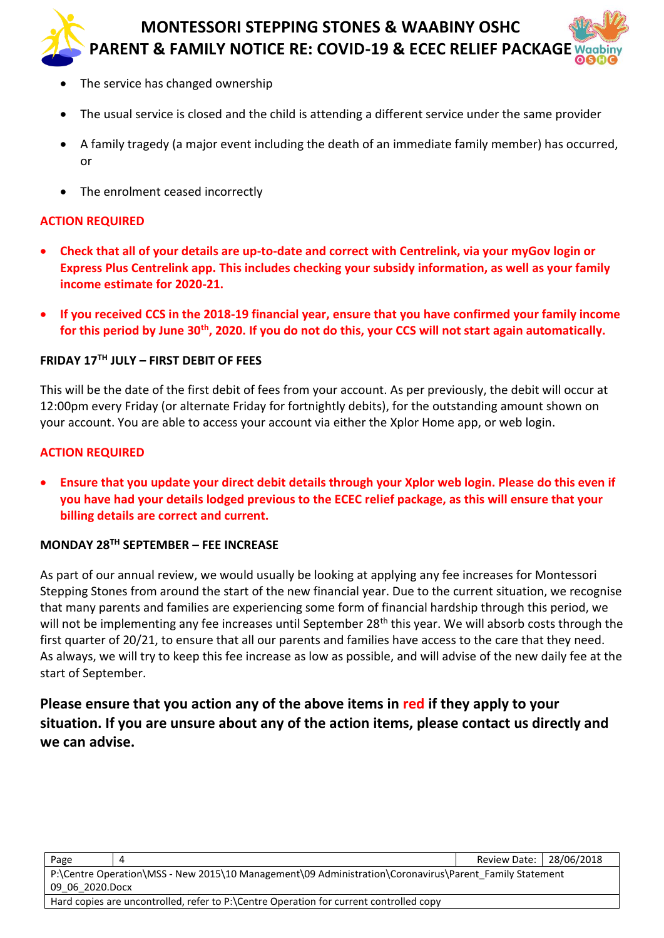- The service has changed ownership
- The usual service is closed and the child is attending a different service under the same provider
- A family tragedy (a major event including the death of an immediate family member) has occurred, or
- The enrolment ceased incorrectly

#### **ACTION REQUIRED**

- **Check that all of your details are up-to-date and correct with Centrelink, via your myGov login or Express Plus Centrelink app. This includes checking your subsidy information, as well as your family income estimate for 2020-21.**
- **If you received CCS in the 2018-19 financial year, ensure that you have confirmed your family income for this period by June 30th, 2020. If you do not do this, your CCS will not start again automatically.**

#### **FRIDAY 17TH JULY – FIRST DEBIT OF FEES**

This will be the date of the first debit of fees from your account. As per previously, the debit will occur at 12:00pm every Friday (or alternate Friday for fortnightly debits), for the outstanding amount shown on your account. You are able to access your account via either the Xplor Home app, or web login.

#### **ACTION REQUIRED**

• **Ensure that you update your direct debit details through your Xplor web login. Please do this even if you have had your details lodged previous to the ECEC relief package, as this will ensure that your billing details are correct and current.**

#### **MONDAY 28TH SEPTEMBER – FEE INCREASE**

As part of our annual review, we would usually be looking at applying any fee increases for Montessori Stepping Stones from around the start of the new financial year. Due to the current situation, we recognise that many parents and families are experiencing some form of financial hardship through this period, we will not be implementing any fee increases until September 28<sup>th</sup> this year. We will absorb costs through the first quarter of 20/21, to ensure that all our parents and families have access to the care that they need. As always, we will try to keep this fee increase as low as possible, and will advise of the new daily fee at the start of September.

## **Please ensure that you action any of the above items in red if they apply to your situation. If you are unsure about any of the action items, please contact us directly and we can advise.**